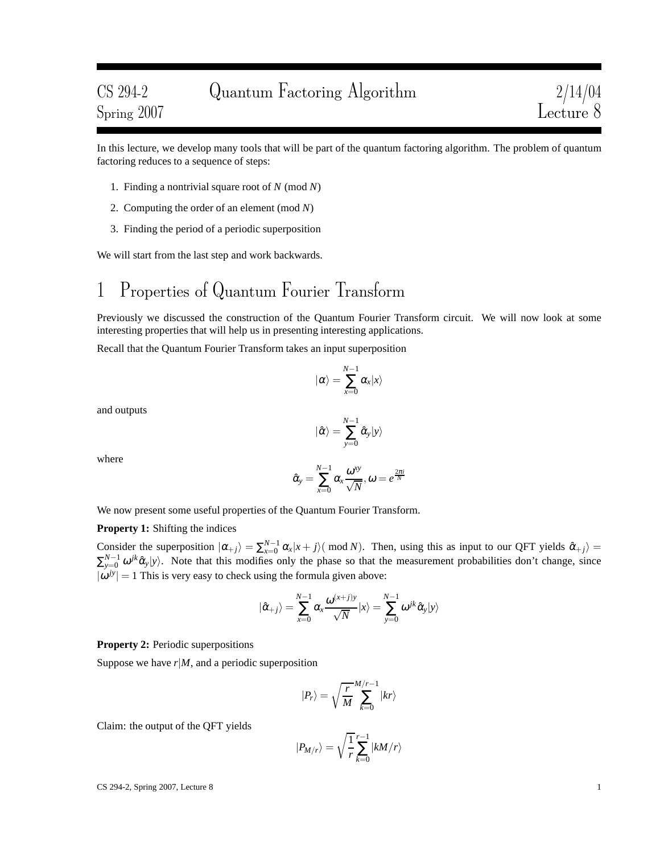In this lecture, we develop many tools that will be part of the quantum factoring algorithm. The problem of quantum factoring reduces to a sequence of steps:

- 1. Finding a nontrivial square root of *N* (mod *N*)
- 2. Computing the order of an element (mod *N*)
- 3. Finding the period of a periodic superposition

We will start from the last step and work backwards.

# 1 Properties of Quantum Fourier Transform

Previously we discussed the construction of the Quantum Fourier Transform circuit. We will now look at some interesting properties that will help us in presenting interesting applications.

Recall that the Quantum Fourier Transform takes an input superposition

$$
|\alpha\rangle=\sum_{x=0}^{N-1}\alpha_{\!}\vert x\rangle
$$

and outputs

$$
|\hat{\alpha}\rangle = \sum_{y=0}^{N-1} \hat{\alpha}_y |y\rangle
$$

where

$$
\hat{\alpha}_y = \sum_{x=0}^{N-1} \alpha_x \frac{\omega^{xy}}{\sqrt{N}}, \omega = e^{\frac{2\pi i}{N}}
$$

We now present some useful properties of the Quantum Fourier Transform.

**Property 1:** Shifting the indices

Consider the superposition  $|\alpha_{+j}\rangle = \sum_{x=0}^{N-1} \alpha_x |x+j\rangle$  (mod *N*). Then, using this as input to our QFT yields  $\hat{\alpha}_{+j}\rangle =$  $\sum_{y=0}^{N-1} \omega^{jk} \hat{\alpha}_y |y\rangle$ . Note that this modifies only the phase so that the measurement probabilities don't change, since  $|\omega^{jy}| = 1$  This is very easy to check using the formula given above:

$$
|\hat{\alpha}_{+j}\rangle = \sum_{x=0}^{N-1} \alpha_x \frac{\omega^{(x+j)y}}{\sqrt{N}} |x\rangle = \sum_{y=0}^{N-1} \omega^{jk} \hat{\alpha}_y |y\rangle
$$

**Property 2:** Periodic superpositions

Suppose we have  $r/M$ , and a periodic superposition

$$
|P_r\rangle = \sqrt{\frac{r}{M}} \sum_{k=0}^{M/r-1} |kr\rangle
$$

Claim: the output of the QFT yields

$$
|P_{M/r}\rangle = \sqrt{\frac{1}{r}} \sum_{k=0}^{r-1} |kM/r\rangle
$$

CS 294-2, Spring 2007, Lecture 8 1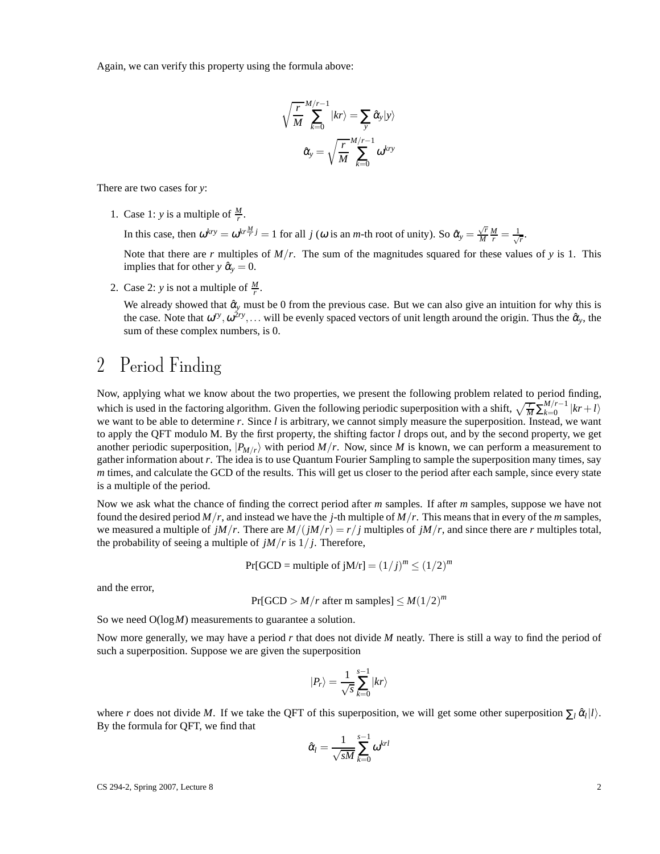Again, we can verify this property using the formula above:

$$
\sqrt{\frac{r}{M}} \sum_{k=0}^{M/r-1} |kr\rangle = \sum_{y} \hat{\alpha}_{y} |y\rangle
$$

$$
\hat{\alpha}_{y} = \sqrt{\frac{r}{M}} \sum_{k=0}^{M/r-1} \omega^{kry}
$$

There are two cases for *y*:

1. Case 1: *y* is a multiple of  $\frac{M}{r}$ .

In this case, then  $\omega^{kry} = \omega^{kr} \frac{M}{r} j = 1$  for all *j* ( $\omega$  is an *m*-th root of unity). So  $\hat{\alpha}_y = \frac{\sqrt{r}}{M}$  $\frac{\sqrt{r}}{M}\frac{M}{r}=\frac{1}{\sqrt{r}}.$ 

Note that there are *r* multiples of  $M/r$ . The sum of the magnitudes squared for these values of *y* is 1. This implies that for other *y*  $\hat{\alpha}_v = 0$ .

2. Case 2: *y* is not a multiple of  $\frac{M}{r}$ .

We already showed that  $\hat{\alpha}_y$  must be 0 from the previous case. But we can also give an intuition for why this is the case. Note that  $\omega'$ <sup>*ry*</sup>,  $\omega^{2ry}$ ,... will be evenly spaced vectors of unit length around the origin. Thus the  $\hat{\alpha}_y$ , the sum of these complex numbers, is 0.

## 2 Period Finding

Now, applying what we know about the two properties, we present the following problem related to period finding, which is used in the factoring algorithm. Given the following periodic superposition with a shift,  $\sqrt{\frac{r}{M}} \sum_{k=0}^{M/r-1} |kr + l\rangle$ we want to be able to determine *r*. Since *l* is arbitrary, we cannot simply measure the superposition. Instead, we want to apply the QFT modulo M. By the first property, the shifting factor *l* drops out, and by the second property, we get another periodic superposition,  $|P_{M/r}\rangle$  with period  $M/r$ . Now, since *M* is known, we can perform a measurement to gather information about *r*. The idea is to use Quantum Fourier Sampling to sample the superposition many times, say *m* times, and calculate the GCD of the results. This will get us closer to the period after each sample, since every state is a multiple of the period.

Now we ask what the chance of finding the correct period after *m* samples. If after *m* samples, suppose we have not found the desired period  $M/r$ , and instead we have the *j*-th multiple of  $M/r$ . This means that in every of the *m* samples, we measured a multiple of  $jM/r$ . There are  $M/(jM/r) = r/j$  multiples of  $jM/r$ , and since there are *r* multiples total, the probability of seeing a multiple of  $jM/r$  is  $1/j$ . Therefore,

$$
Pr[GCD = \text{multiple of } jM/r] = (1/j)^m \le (1/2)^m
$$

and the error,

$$
Pr[GCD > M/r \text{ after } m \text{ samples}] \leq M(1/2)^m
$$

So we need O(log*M*) measurements to guarantee a solution.

Now more generally, we may have a period *r* that does not divide *M* neatly. There is still a way to find the period of such a superposition. Suppose we are given the superposition

$$
|P_r\rangle = \frac{1}{\sqrt{s}} \sum_{k=0}^{s-1} |kr\rangle
$$

where *r* does not divide *M*. If we take the QFT of this superposition, we will get some other superposition  $\sum_l \hat{\alpha}_l |l\rangle$ . By the formula for QFT, we find that

$$
\hat{\alpha}_l = \frac{1}{\sqrt{sM}} \sum_{k=0}^{s-1} \omega^{krl}
$$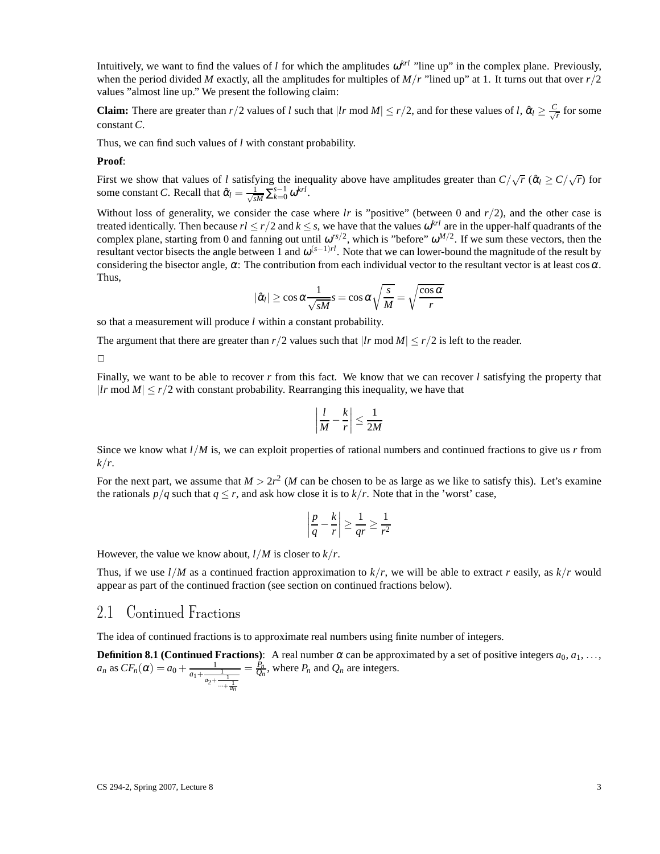Intuitively, we want to find the values of *l* for which the amplitudes  $\omega^{krl}$  "line up" in the complex plane. Previously, when the period divided *M* exactly, all the amplitudes for multiples of  $M/r$  "lined up" at 1. It turns out that over  $r/2$ values "almost line up." We present the following claim:

**Claim:** There are greater than  $r/2$  values of *l* such that  $|lr \mod M| \le r/2$ , and for these values of *l*,  $\hat{\alpha}_l \ge \frac{C}{\sqrt{r}}$  for some constant *C*.

Thus, we can find such values of *l* with constant probability.

#### **Proof**:

First we show that values of *l* satisfying the inequality above have amplitudes greater than  $C/\sqrt{r}$  ( $\hat{\alpha}_l \geq C/\sqrt{r}$ ) for some constant *C*. Recall that  $\hat{\alpha}_l = \frac{1}{\sqrt{s}M} \sum_{k=0}^{s-1} \omega^{krl}$ .

Without loss of generality, we consider the case where  $lr$  is "positive" (between 0 and  $r/2$ ), and the other case is treated identically. Then because  $rl \le r/2$  and  $k \le s$ , we have that the values  $\omega^{krl}$  are in the upper-half quadrants of the complex plane, starting from 0 and fanning out until  $\omega^{rs/2}$ , which is "before"  $\omega^{M/2}$ . If we sum these vectors, then the resultant vector bisects the angle between 1 and  $\omega^{(s-1)r}$ . Note that we can lower-bound the magnitude of the result by considering the bisector angle,  $\alpha$ : The contribution from each individual vector to the resultant vector is at least cos  $\alpha$ . Thus,

$$
|\hat{\alpha}_l| \ge \cos \alpha \frac{1}{\sqrt{sM}} s = \cos \alpha \sqrt{\frac{s}{M}} = \sqrt{\frac{\cos \alpha}{r}}
$$

so that a measurement will produce *l* within a constant probability.

The argument that there are greater than  $r/2$  values such that  $|lr \mod M| \leq r/2$  is left to the reader.

 $\Box$ 

Finally, we want to be able to recover *r* from this fact. We know that we can recover *l* satisfying the property that  $|lr \mod M| \leq r/2$  with constant probability. Rearranging this inequality, we have that

$$
\left|\frac{l}{M} - \frac{k}{r}\right| \le \frac{1}{2M}
$$

Since we know what *l*/*M* is, we can exploit properties of rational numbers and continued fractions to give us *r* from *k*/*r*.

For the next part, we assume that  $M > 2r^2$  (*M* can be chosen to be as large as we like to satisfy this). Let's examine the rationals  $p/q$  such that  $q \le r$ , and ask how close it is to  $k/r$ . Note that in the 'worst' case,

$$
\left|\frac{p}{q} - \frac{k}{r}\right| \ge \frac{1}{qr} \ge \frac{1}{r^2}
$$

However, the value we know about,  $l/M$  is closer to  $k/r$ .

Thus, if we use  $l/M$  as a continued fraction approximation to  $k/r$ , we will be able to extract *r* easily, as  $k/r$  would appear as part of the continued fraction (see section on continued fractions below).

### 2.1 Continued Fractions

The idea of continued fractions is to approximate real numbers using finite number of integers.

**Definition 8.1 (Continued Fractions):** A real number  $\alpha$  can be approximated by a set of positive integers  $a_0, a_1, \ldots$ ,  $a_n$  as  $CF_n(\alpha) = a_0 + \frac{1}{a_0 + \alpha}$  $a_1 + \frac{1}{a_2 + \frac{1}{\cdots + \frac{1}{a_n}}}$  $=\frac{P_n}{Q_n}$ , where  $P_n$  and  $Q_n$  are integers.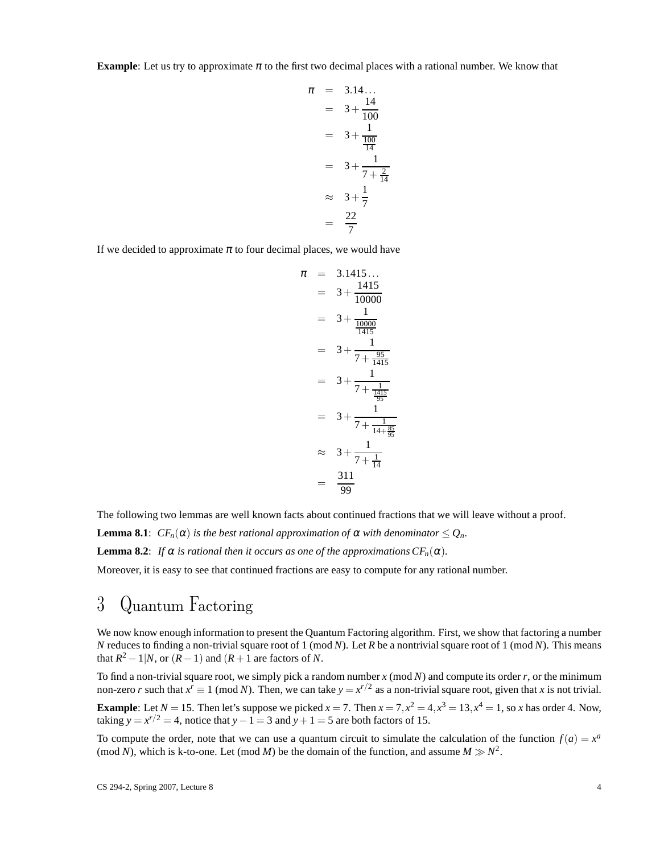**Example**: Let us try to approximate  $\pi$  to the first two decimal places with a rational number. We know that

$$
\pi = 3.14...
$$
  
= 3 +  $\frac{14}{100}$   
= 3 +  $\frac{1}{\frac{100}{14}}$   
= 3 +  $\frac{1}{7 + \frac{2}{14}}$   

$$
\approx 3 + \frac{1}{7}
$$
  
=  $\frac{22}{7}$ 

If we decided to approximate  $\pi$  to four decimal places, we would have

$$
\pi = 3.1415...
$$
\n
$$
= 3 + \frac{1415}{10000}
$$
\n
$$
= 3 + \frac{1}{\frac{10000}{1415}}
$$
\n
$$
= 3 + \frac{1}{7 + \frac{95}{1415}}
$$
\n
$$
= 3 + \frac{1}{7 + \frac{1}{1415}}
$$
\n
$$
= 3 + \frac{1}{7 + \frac{1}{14 + \frac{85}{95}}}
$$
\n
$$
\approx 3 + \frac{1}{7 + \frac{1}{14 + \frac{85}{95}}}
$$
\n
$$
\approx 3 + \frac{1}{7 + \frac{1}{14}}
$$
\n
$$
= \frac{311}{99}
$$

The following two lemmas are well known facts about continued fractions that we will leave without a proof.

**Lemma 8.1**:  $CF_n(\alpha)$  *is the best rational approximation of*  $\alpha$  *with denominator*  $\leq Q_n$ *.* **Lemma 8.2**: *If*  $\alpha$  *is rational then it occurs as one of the approximations*  $CF_n(\alpha)$ *.* 

Moreover, it is easy to see that continued fractions are easy to compute for any rational number.

## 3 Quantum Factoring

We now know enough information to present the Quantum Factoring algorithm. First, we show that factoring a number *N* reduces to finding a non-trivial square root of 1 (mod *N*). Let *R* be a nontrivial square root of 1 (mod *N*). This means that  $R^2 - 1|N$ , or  $(R - 1)$  and  $(R + 1$  are factors of *N*.

To find a non-trivial square root, we simply pick a random number  $x \pmod{N}$  and compute its order  $r$ , or the minimum non-zero *r* such that  $x^r \equiv 1 \pmod{N}$ . Then, we can take  $y = x^{r/2}$  as a non-trivial square root, given that *x* is not trivial. **Example**: Let  $N = 15$ . Then let's suppose we picked  $x = 7$ . Then  $x = 7, x^2 = 4, x^3 = 13, x^4 = 1$ , so *x* has order 4. Now, taking *y* =  $x^{r/2}$  = 4, notice that *y* − 1 = 3 and *y* + 1 = 5 are both factors of 15.

To compute the order, note that we can use a quantum circuit to simulate the calculation of the function  $f(a) = x^a$ (mod *N*), which is k-to-one. Let (mod *M*) be the domain of the function, and assume  $M \gg N^2$ .